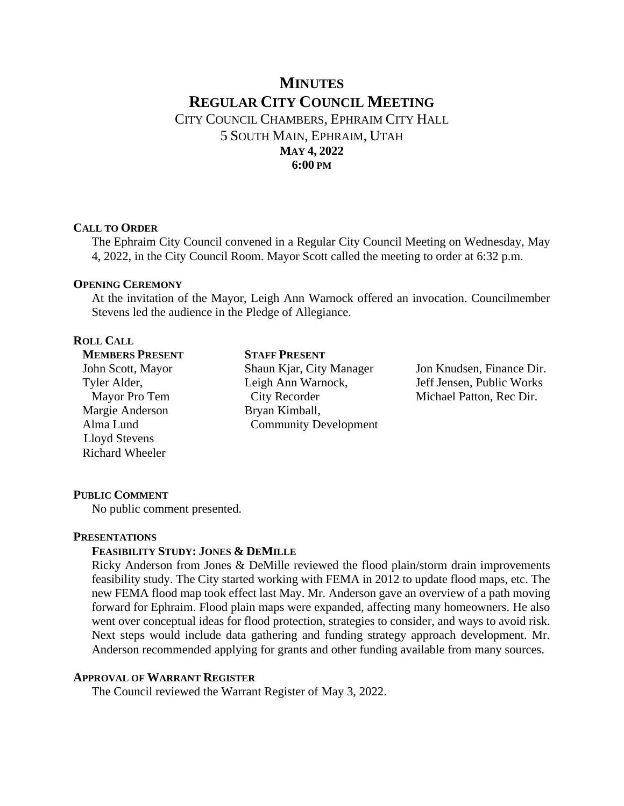# **MINUTES REGULAR CITY COUNCIL MEETING** CITY COUNCIL CHAMBERS, EPHRAIM CITY HALL

5 SOUTH MAIN, EPHRAIM, UTAH **MAY 4, 2022 6:00 PM**

### **CALL TO ORDER**

The Ephraim City Council convened in a Regular City Council Meeting on Wednesday, May 4, 2022, in the City Council Room. Mayor Scott called the meeting to order at 6:32 p.m.

### **OPENING CEREMONY**

At the invitation of the Mayor, Leigh Ann Warnock offered an invocation. Councilmember Stevens led the audience in the Pledge of Allegiance.

### **ROLL CALL**

**MEMBERS PRESENT** John Scott, Mayor Tyler Alder, Mayor Pro Tem Margie Anderson Alma Lund Lloyd Stevens Richard Wheeler

**STAFF PRESENT**  Shaun Kjar, City Manager Leigh Ann Warnock, City Recorder Bryan Kimball, Community Development

Jon Knudsen, Finance Dir. Jeff Jensen, Public Works Michael Patton, Rec Dir.

### **PUBLIC COMMENT**

No public comment presented.

### **PRESENTATIONS**

### **FEASIBILITY STUDY: JONES & DEMILLE**

Ricky Anderson from Jones & DeMille reviewed the flood plain/storm drain improvements feasibility study. The City started working with FEMA in 2012 to update flood maps, etc. The new FEMA flood map took effect last May. Mr. Anderson gave an overview of a path moving forward for Ephraim. Flood plain maps were expanded, affecting many homeowners. He also went over conceptual ideas for flood protection, strategies to consider, and ways to avoid risk. Next steps would include data gathering and funding strategy approach development. Mr. Anderson recommended applying for grants and other funding available from many sources.

### **APPROVAL OF WARRANT REGISTER**

The Council reviewed the Warrant Register of May 3, 2022.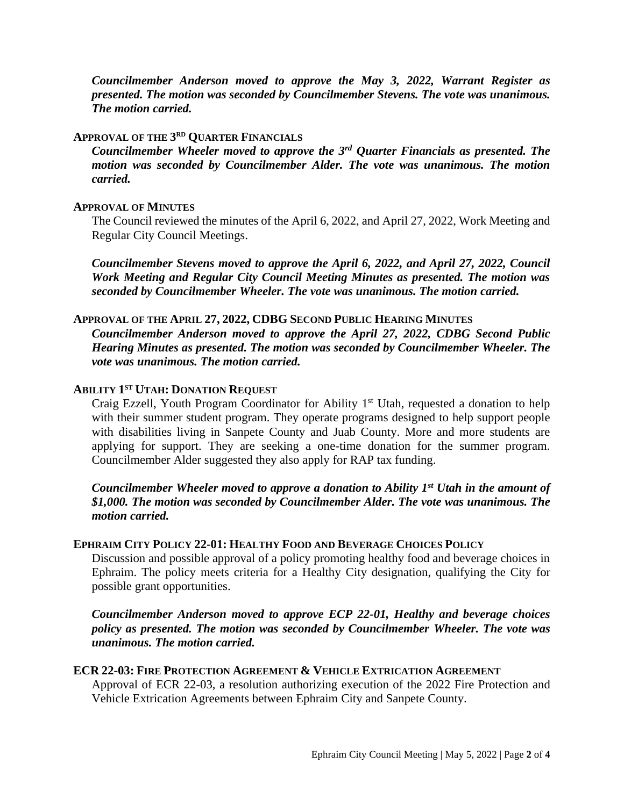*Councilmember Anderson moved to approve the May 3, 2022, Warrant Register as presented. The motion was seconded by Councilmember Stevens. The vote was unanimous. The motion carried.*

### **APPROVAL OF THE 3 RD QUARTER FINANCIALS**

*Councilmember Wheeler moved to approve the 3rd Quarter Financials as presented. The motion was seconded by Councilmember Alder. The vote was unanimous. The motion carried.*

### **APPROVAL OF MINUTES**

The Council reviewed the minutes of the April 6, 2022, and April 27, 2022, Work Meeting and Regular City Council Meetings.

*Councilmember Stevens moved to approve the April 6, 2022, and April 27, 2022, Council Work Meeting and Regular City Council Meeting Minutes as presented. The motion was seconded by Councilmember Wheeler. The vote was unanimous. The motion carried.*

## **APPROVAL OF THE APRIL 27, 2022, CDBG SECOND PUBLIC HEARING MINUTES**

*Councilmember Anderson moved to approve the April 27, 2022, CDBG Second Public Hearing Minutes as presented. The motion was seconded by Councilmember Wheeler. The vote was unanimous. The motion carried.*

# **ABILITY 1 ST UTAH: DONATION REQUEST**

Craig Ezzell, Youth Program Coordinator for Ability 1<sup>st</sup> Utah, requested a donation to help with their summer student program. They operate programs designed to help support people with disabilities living in Sanpete County and Juab County. More and more students are applying for support. They are seeking a one-time donation for the summer program. Councilmember Alder suggested they also apply for RAP tax funding.

*Councilmember Wheeler moved to approve a donation to Ability 1st Utah in the amount of \$1,000. The motion was seconded by Councilmember Alder. The vote was unanimous. The motion carried.*

# **EPHRAIM CITY POLICY 22-01: HEALTHY FOOD AND BEVERAGE CHOICES POLICY**

Discussion and possible approval of a policy promoting healthy food and beverage choices in Ephraim. The policy meets criteria for a Healthy City designation, qualifying the City for possible grant opportunities.

*Councilmember Anderson moved to approve ECP 22-01, Healthy and beverage choices policy as presented. The motion was seconded by Councilmember Wheeler. The vote was unanimous. The motion carried.*

### **ECR 22-03: FIRE PROTECTION AGREEMENT & VEHICLE EXTRICATION AGREEMENT**

Approval of ECR 22-03, a resolution authorizing execution of the 2022 Fire Protection and Vehicle Extrication Agreements between Ephraim City and Sanpete County.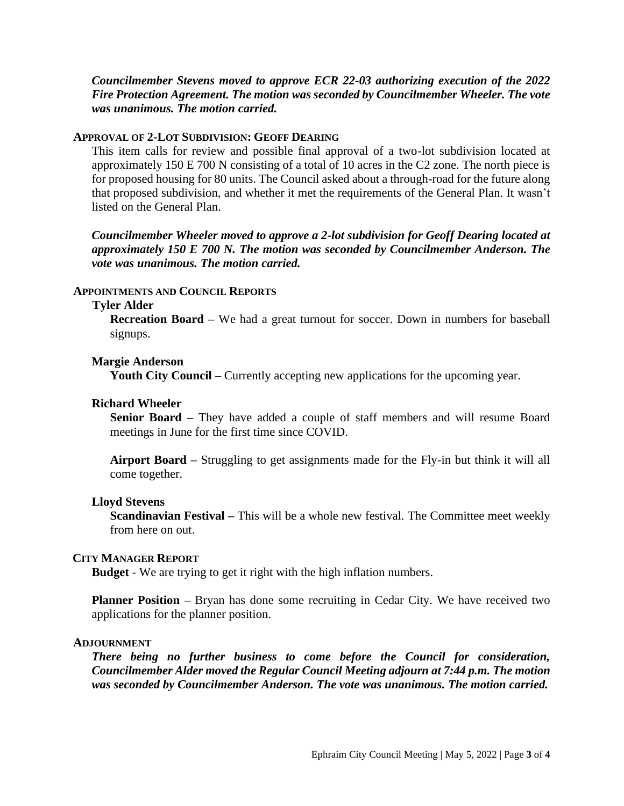*Councilmember Stevens moved to approve ECR 22-03 authorizing execution of the 2022 Fire Protection Agreement. The motion was seconded by Councilmember Wheeler. The vote was unanimous. The motion carried.*

### **APPROVAL OF 2-LOT SUBDIVISION: GEOFF DEARING**

This item calls for review and possible final approval of a two-lot subdivision located at approximately 150 E 700 N consisting of a total of 10 acres in the C2 zone. The north piece is for proposed housing for 80 units. The Council asked about a through-road for the future along that proposed subdivision, and whether it met the requirements of the General Plan. It wasn't listed on the General Plan.

*Councilmember Wheeler moved to approve a 2-lot subdivision for Geoff Dearing located at approximately 150 E 700 N. The motion was seconded by Councilmember Anderson. The vote was unanimous. The motion carried.*

### **APPOINTMENTS AND COUNCIL REPORTS**

#### **Tyler Alder**

**Recreation Board –** We had a great turnout for soccer. Down in numbers for baseball signups.

### **Margie Anderson**

**Youth City Council –** Currently accepting new applications for the upcoming year.

### **Richard Wheeler**

**Senior Board –** They have added a couple of staff members and will resume Board meetings in June for the first time since COVID.

**Airport Board –** Struggling to get assignments made for the Fly-in but think it will all come together.

#### **Lloyd Stevens**

**Scandinavian Festival –** This will be a whole new festival. The Committee meet weekly from here on out.

### **CITY MANAGER REPORT**

**Budget** - We are trying to get it right with the high inflation numbers.

**Planner Position** – Bryan has done some recruiting in Cedar City. We have received two applications for the planner position.

#### **ADJOURNMENT**

*There being no further business to come before the Council for consideration, Councilmember Alder moved the Regular Council Meeting adjourn at 7:44 p.m. The motion was seconded by Councilmember Anderson. The vote was unanimous. The motion carried.*